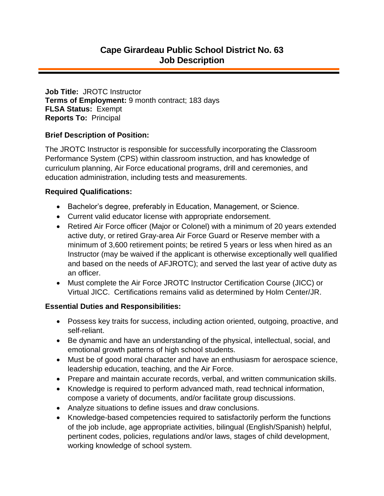**Job Title:** JROTC Instructor **Terms of Employment:** 9 month contract; 183 days **FLSA Status:** Exempt **Reports To:** Principal

### **Brief Description of Position:**

The JROTC Instructor is responsible for successfully incorporating the Classroom Performance System (CPS) within classroom instruction, and has knowledge of curriculum planning, Air Force educational programs, drill and ceremonies, and education administration, including tests and measurements.

#### **Required Qualifications:**

- Bachelor's degree, preferably in Education, Management, or Science.
- Current valid educator license with appropriate endorsement.
- Retired Air Force officer (Major or Colonel) with a minimum of 20 years extended active duty, or retired Gray-area Air Force Guard or Reserve member with a minimum of 3,600 retirement points; be retired 5 years or less when hired as an Instructor (may be waived if the applicant is otherwise exceptionally well qualified and based on the needs of AFJROTC); and served the last year of active duty as an officer.
- Must complete the Air Force JROTC Instructor Certification Course (JICC) or Virtual JICC. Certifications remains valid as determined by Holm Center/JR.

## **Essential Duties and Responsibilities:**

- Possess key traits for success, including action oriented, outgoing, proactive, and self-reliant.
- Be dynamic and have an understanding of the physical, intellectual, social, and emotional growth patterns of high school students.
- Must be of good moral character and have an enthusiasm for aerospace science, leadership education, teaching, and the Air Force.
- Prepare and maintain accurate records, verbal, and written communication skills.
- Knowledge is required to perform advanced math, read technical information, compose a variety of documents, and/or facilitate group discussions.
- Analyze situations to define issues and draw conclusions.
- Knowledge-based competencies required to satisfactorily perform the functions of the job include, age appropriate activities, bilingual (English/Spanish) helpful, pertinent codes, policies, regulations and/or laws, stages of child development, working knowledge of school system.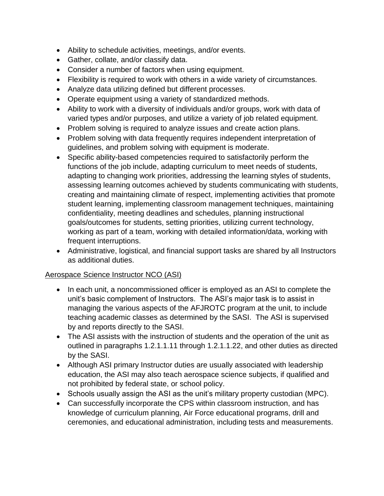- Ability to schedule activities, meetings, and/or events.
- Gather, collate, and/or classify data.
- Consider a number of factors when using equipment.
- Flexibility is required to work with others in a wide variety of circumstances.
- Analyze data utilizing defined but different processes.
- Operate equipment using a variety of standardized methods.
- Ability to work with a diversity of individuals and/or groups, work with data of varied types and/or purposes, and utilize a variety of job related equipment.
- Problem solving is required to analyze issues and create action plans.
- Problem solving with data frequently requires independent interpretation of guidelines, and problem solving with equipment is moderate.
- Specific ability-based competencies required to satisfactorily perform the functions of the job include, adapting curriculum to meet needs of students, adapting to changing work priorities, addressing the learning styles of students, assessing learning outcomes achieved by students communicating with students, creating and maintaining climate of respect, implementing activities that promote student learning, implementing classroom management techniques, maintaining confidentiality, meeting deadlines and schedules, planning instructional goals/outcomes for students, setting priorities, utilizing current technology, working as part of a team, working with detailed information/data, working with frequent interruptions.
- Administrative, logistical, and financial support tasks are shared by all Instructors as additional duties.

## Aerospace Science Instructor NCO (ASI)

- In each unit, a noncommissioned officer is employed as an ASI to complete the unit's basic complement of Instructors. The ASI's major task is to assist in managing the various aspects of the AFJROTC program at the unit, to include teaching academic classes as determined by the SASI. The ASI is supervised by and reports directly to the SASI.
- The ASI assists with the instruction of students and the operation of the unit as outlined in paragraphs 1.2.1.1.11 through 1.2.1.1.22, and other duties as directed by the SASI.
- Although ASI primary Instructor duties are usually associated with leadership education, the ASI may also teach aerospace science subjects, if qualified and not prohibited by federal state, or school policy.
- Schools usually assign the ASI as the unit's military property custodian (MPC).
- Can successfully incorporate the CPS within classroom instruction, and has knowledge of curriculum planning, Air Force educational programs, drill and ceremonies, and educational administration, including tests and measurements.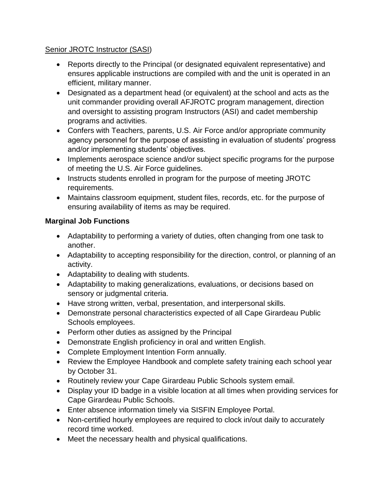# Senior JROTC Instructor (SASI)

- Reports directly to the Principal (or designated equivalent representative) and ensures applicable instructions are compiled with and the unit is operated in an efficient, military manner.
- Designated as a department head (or equivalent) at the school and acts as the unit commander providing overall AFJROTC program management, direction and oversight to assisting program Instructors (ASI) and cadet membership programs and activities.
- Confers with Teachers, parents, U.S. Air Force and/or appropriate community agency personnel for the purpose of assisting in evaluation of students' progress and/or implementing students' objectives.
- Implements aerospace science and/or subject specific programs for the purpose of meeting the U.S. Air Force guidelines.
- Instructs students enrolled in program for the purpose of meeting JROTC requirements.
- Maintains classroom equipment, student files, records, etc. for the purpose of ensuring availability of items as may be required.

# **Marginal Job Functions**

- Adaptability to performing a variety of duties, often changing from one task to another.
- Adaptability to accepting responsibility for the direction, control, or planning of an activity.
- Adaptability to dealing with students.
- Adaptability to making generalizations, evaluations, or decisions based on sensory or judgmental criteria.
- Have strong written, verbal, presentation, and interpersonal skills.
- Demonstrate personal characteristics expected of all Cape Girardeau Public Schools employees.
- Perform other duties as assigned by the Principal
- Demonstrate English proficiency in oral and written English.
- Complete Employment Intention Form annually.
- Review the Employee Handbook and complete safety training each school year by October 31.
- Routinely review your Cape Girardeau Public Schools system email.
- Display your ID badge in a visible location at all times when providing services for Cape Girardeau Public Schools.
- Enter absence information timely via SISFIN Employee Portal.
- Non-certified hourly employees are required to clock in/out daily to accurately record time worked.
- Meet the necessary health and physical qualifications.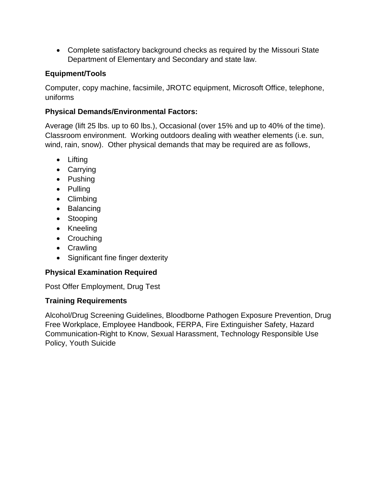Complete satisfactory background checks as required by the Missouri State Department of Elementary and Secondary and state law.

## **Equipment/Tools**

Computer, copy machine, facsimile, JROTC equipment, Microsoft Office, telephone, uniforms

## **Physical Demands/Environmental Factors:**

Average (lift 25 lbs. up to 60 lbs.), Occasional (over 15% and up to 40% of the time). Classroom environment. Working outdoors dealing with weather elements (i.e. sun, wind, rain, snow). Other physical demands that may be required are as follows,

- Lifting
- Carrying
- Pushing
- Pulling
- Climbing
- Balancing
- Stooping
- Kneeling
- Crouching
- Crawling
- Significant fine finger dexterity

## **Physical Examination Required**

Post Offer Employment, Drug Test

## **Training Requirements**

Alcohol/Drug Screening Guidelines, Bloodborne Pathogen Exposure Prevention, Drug Free Workplace, Employee Handbook, FERPA, Fire Extinguisher Safety, Hazard Communication-Right to Know, Sexual Harassment, Technology Responsible Use Policy, Youth Suicide